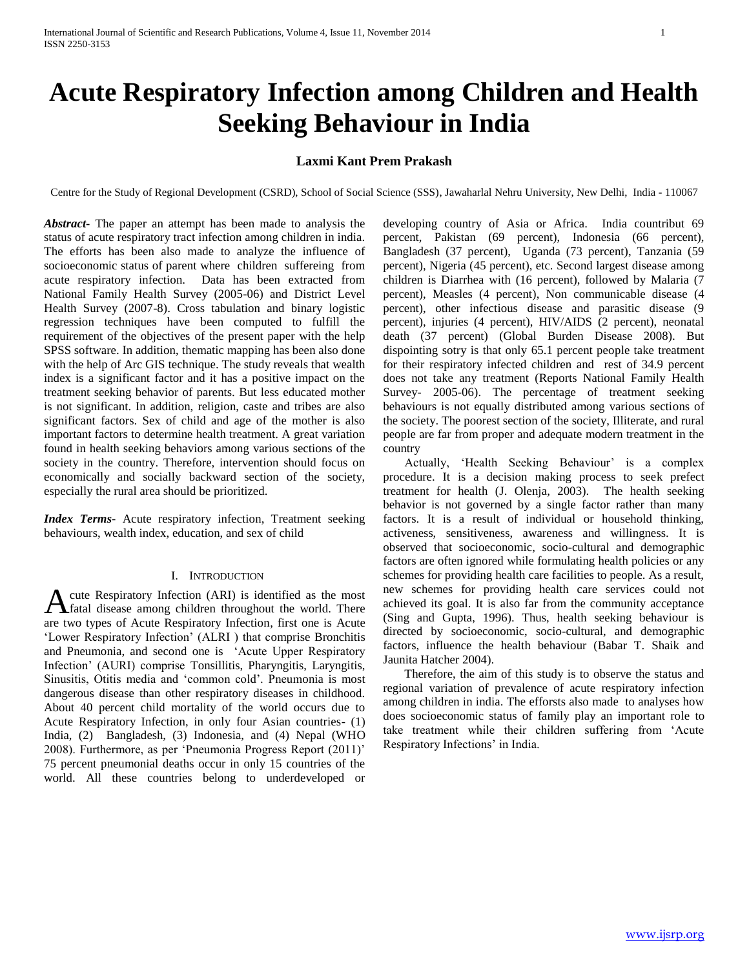# **Acute Respiratory Infection among Children and Health Seeking Behaviour in India**

## **Laxmi Kant Prem Prakash**

Centre for the Study of Regional Development (CSRD), School of Social Science (SSS), Jawaharlal Nehru University, New Delhi, India - 110067

*Abstract***-** The paper an attempt has been made to analysis the status of acute respiratory tract infection among children in india. The efforts has been also made to analyze the influence of socioeconomic status of parent where children suffereing from acute respiratory infection. Data has been extracted from National Family Health Survey (2005-06) and District Level Health Survey (2007-8). Cross tabulation and binary logistic regression techniques have been computed to fulfill the requirement of the objectives of the present paper with the help SPSS software. In addition, thematic mapping has been also done with the help of Arc GIS technique. The study reveals that wealth index is a significant factor and it has a positive impact on the treatment seeking behavior of parents. But less educated mother is not significant. In addition, religion, caste and tribes are also significant factors. Sex of child and age of the mother is also important factors to determine health treatment. A great variation found in health seeking behaviors among various sections of the society in the country. Therefore, intervention should focus on economically and socially backward section of the society, especially the rural area should be prioritized.

*Index Terms*- Acute respiratory infection, Treatment seeking behaviours, wealth index, education, and sex of child

#### I. INTRODUCTION

cute Respiratory Infection (ARI) is identified as the most A cute Respiratory Infection (ARI) is identified as the most fatal disease among children throughout the world. There are two types of Acute Respiratory Infection, first one is Acute "Lower Respiratory Infection" (ALRI ) that comprise Bronchitis and Pneumonia, and second one is "Acute Upper Respiratory Infection" (AURI) comprise Tonsillitis, Pharyngitis, Laryngitis, Sinusitis, Otitis media and "common cold". Pneumonia is most dangerous disease than other respiratory diseases in childhood. About 40 percent child mortality of the world occurs due to Acute Respiratory Infection, in only four Asian countries- (1) India, (2) Bangladesh, (3) Indonesia, and (4) Nepal (WHO 2008). Furthermore, as per "Pneumonia Progress Report (2011)" 75 percent pneumonial deaths occur in only 15 countries of the world. All these countries belong to underdeveloped or

developing country of Asia or Africa. India countribut 69 percent, Pakistan (69 percent), Indonesia (66 percent), Bangladesh (37 percent), Uganda (73 percent), Tanzania (59 percent), Nigeria (45 percent), etc. Second largest disease among children is Diarrhea with (16 percent), followed by Malaria (7 percent), Measles (4 percent), Non communicable disease (4 percent), other infectious disease and parasitic disease (9 percent), injuries (4 percent), HIV/AIDS (2 percent), neonatal death (37 percent) (Global Burden Disease 2008). But dispointing sotry is that only 65.1 percent people take treatment for their respiratory infected children and rest of 34.9 percent does not take any treatment (Reports National Family Health Survey- 2005-06). The percentage of treatment seeking behaviours is not equally distributed among various sections of the society. The poorest section of the society, Illiterate, and rural people are far from proper and adequate modern treatment in the country

Actually, 'Health Seeking Behaviour' is a complex procedure. It is a decision making process to seek prefect treatment for health (J. Olenja, 2003). The health seeking behavior is not governed by a single factor rather than many factors. It is a result of individual or household thinking, activeness, sensitiveness, awareness and willingness. It is observed that socioeconomic, socio-cultural and demographic factors are often ignored while formulating health policies or any schemes for providing health care facilities to people. As a result, new schemes for providing health care services could not achieved its goal. It is also far from the community acceptance (Sing and Gupta, 1996). Thus, health seeking behaviour is directed by socioeconomic, socio-cultural, and demographic factors, influence the health behaviour (Babar T. Shaik and Jaunita Hatcher 2004).

 Therefore, the aim of this study is to observe the status and regional variation of prevalence of acute respiratory infection among children in india. The efforsts also made to analyses how does socioeconomic status of family play an important role to take treatment while their children suffering from "Acute Respiratory Infections' in India.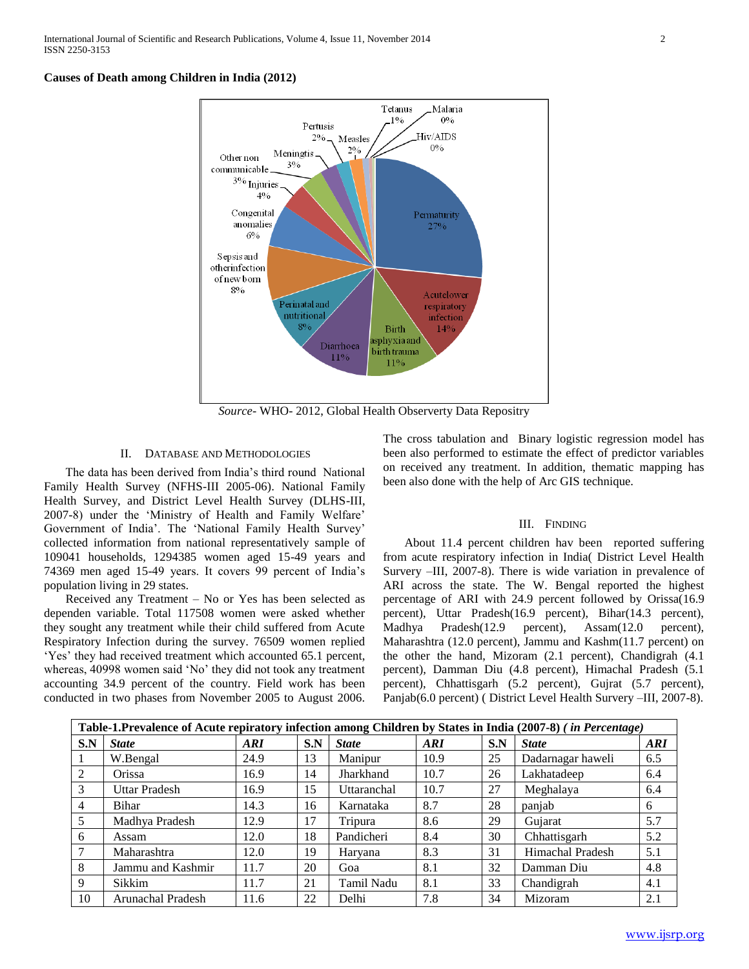#### **Causes of Death among Children in India (2012)**



*Source*- WHO- 2012, Global Health Observerty Data Repositry

#### II. DATABASE AND METHODOLOGIES

 The data has been derived from India"s third round National Family Health Survey (NFHS-III 2005-06). National Family Health Survey, and District Level Health Survey (DLHS-III, 2007-8) under the "Ministry of Health and Family Welfare" Government of India'. The 'National Family Health Survey' collected information from national representatively sample of 109041 households, 1294385 women aged 15-49 years and 74369 men aged 15-49 years. It covers 99 percent of India"s population living in 29 states.

 Received any Treatment – No or Yes has been selected as dependen variable. Total 117508 women were asked whether they sought any treatment while their child suffered from Acute Respiratory Infection during the survey. 76509 women replied "Yes" they had received treatment which accounted 65.1 percent, whereas, 40998 women said "No" they did not took any treatment accounting 34.9 percent of the country. Field work has been conducted in two phases from November 2005 to August 2006.

The cross tabulation and Binary logistic regression model has been also performed to estimate the effect of predictor variables on received any treatment. In addition, thematic mapping has been also done with the help of Arc GIS technique.

#### III. FINDING

 About 11.4 percent children hav been reported suffering from acute respiratory infection in India( District Level Health Survery –III, 2007-8). There is wide variation in prevalence of ARI across the state. The W. Bengal reported the highest percentage of ARI with 24.9 percent followed by Orissa(16.9 percent), Uttar Pradesh(16.9 percent), Bihar(14.3 percent), Madhya Pradesh(12.9 percent), Assam(12.0 percent), Maharashtra (12.0 percent), Jammu and Kashm(11.7 percent) on the other the hand, Mizoram (2.1 percent), Chandigrah (4.1 percent), Damman Diu (4.8 percent), Himachal Pradesh (5.1 percent), Chhattisgarh (5.2 percent), Gujrat (5.7 percent), Panjab(6.0 percent) ( District Level Health Survery –III, 2007-8).

|                 | Table-1.Prevalence of Acute repiratory infection among Children by States in India (2007-8) (in Percentage) |      |     |              |            |     |                   |     |
|-----------------|-------------------------------------------------------------------------------------------------------------|------|-----|--------------|------------|-----|-------------------|-----|
| S.N             | <b>State</b>                                                                                                | ARI  | S.N | <b>State</b> | <b>ARI</b> | S.N | <b>State</b>      | ARI |
| -1              | W.Bengal                                                                                                    | 24.9 | 13  | Manipur      | 10.9       | 25  | Dadarnagar haweli | 6.5 |
| 2               | Orissa                                                                                                      | 16.9 | 14  | Jharkhand    | 10.7       | 26  | Lakhatadeep       | 6.4 |
| 3               | <b>Uttar Pradesh</b>                                                                                        | 16.9 | 15  | Uttaranchal  | 10.7       | 27  | Meghalaya         | 6.4 |
| $\overline{4}$  | <b>Bihar</b>                                                                                                | 14.3 | 16  | Karnataka    | 8.7        | 28  | panjab            | 6   |
| $5\overline{)}$ | Madhya Pradesh                                                                                              | 12.9 | 17  | Tripura      | 8.6        | 29  | Gujarat           | 5.7 |
| 6               | Assam                                                                                                       | 12.0 | 18  | Pandicheri   | 8.4        | 30  | Chhattisgarh      | 5.2 |
| 7               | Maharashtra                                                                                                 | 12.0 | 19  | Haryana      | 8.3        | 31  | Himachal Pradesh  | 5.1 |
| 8               | Jammu and Kashmir                                                                                           | 11.7 | 20  | Goa          | 8.1        | 32  | Damman Diu        | 4.8 |
| 9               | Sikkim                                                                                                      | 11.7 | 21  | Tamil Nadu   | 8.1        | 33  | Chandigrah        | 4.1 |
| 10              | Arunachal Pradesh                                                                                           | 11.6 | 22  | Delhi        | 7.8        | 34  | Mizoram           | 2.1 |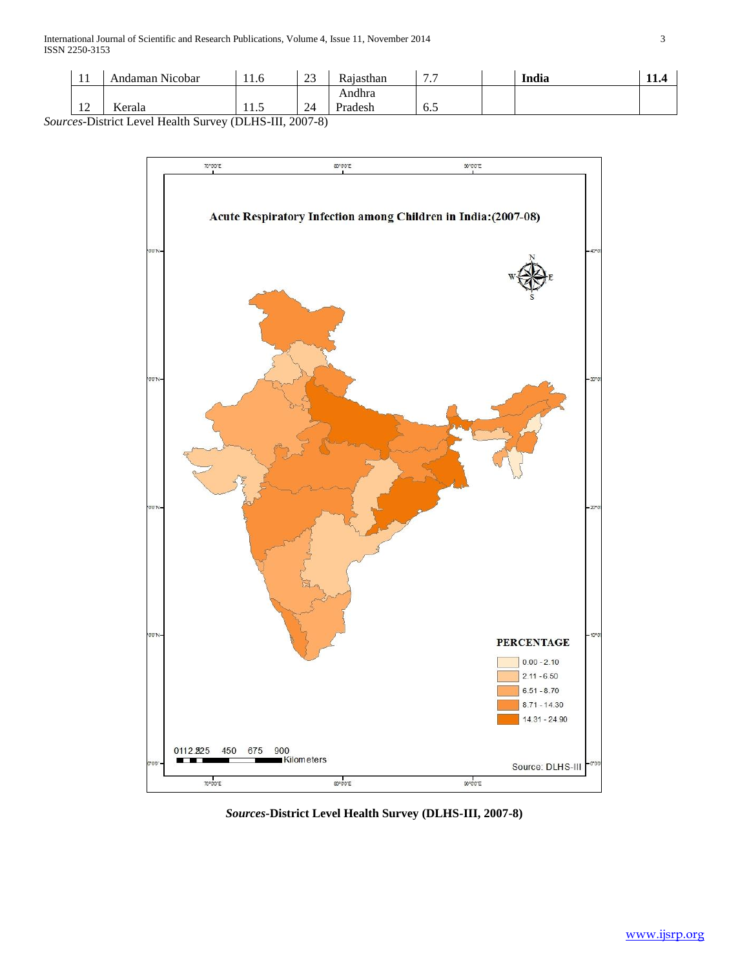| . .                              | $\mathbf{v}$<br>Nicobar<br>\ndaman . | 11<br>11.0 | $\sim$<br>رے | –<br>Rajasthan | $\sim$ $\sim$<br>. | India | . |
|----------------------------------|--------------------------------------|------------|--------------|----------------|--------------------|-------|---|
|                                  |                                      |            |              | Andhra         |                    |       |   |
| 1 <sub>0</sub><br>$\overline{1}$ | <b>Y</b><br><b>A</b> erala           | 11.J       | 24           | Pradech        | 6.5                |       |   |

*Sources*-District Level Health Survey (DLHS-III, 2007-8)



*Sources***-District Level Health Survey (DLHS-III, 2007-8)**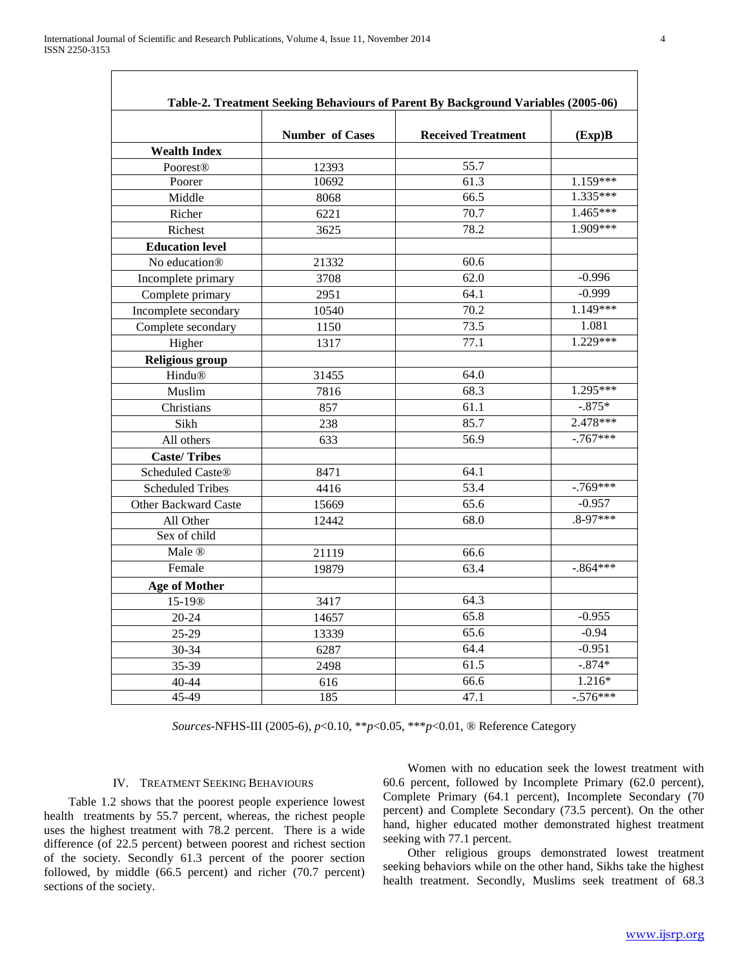|                         | <b>Number of Cases</b> | <b>Received Treatment</b> | (Exp)B                                         |
|-------------------------|------------------------|---------------------------|------------------------------------------------|
| <b>Wealth Index</b>     |                        |                           |                                                |
| <b>Poorest®</b>         | 12393                  | 55.7                      |                                                |
| Poorer                  | 10692                  | 61.3                      | $1.\overline{159***}$<br>$1.\overline{335***}$ |
| Middle                  | 8068                   | 66.5                      | $1.465***$                                     |
| Richer                  | 6221                   | 70.7                      | 1.909***                                       |
| Richest                 | 3625                   | 78.2                      |                                                |
| <b>Education level</b>  |                        |                           |                                                |
| No education®           | 21332                  | 60.6                      |                                                |
| Incomplete primary      | 3708                   | 62.0                      | $-0.996$                                       |
| Complete primary        | 2951                   | 64.1                      | $-0.999$                                       |
| Incomplete secondary    | 10540                  | 70.2                      | 1.149***                                       |
| Complete secondary      | 1150                   | 73.5                      | 1.081                                          |
| Higher                  | 1317                   | 77.1                      | $1.229***$                                     |
| <b>Religious group</b>  |                        |                           |                                                |
| Hindu®                  | 31455                  | 64.0                      |                                                |
| Muslim                  | 7816                   | 68.3                      | $1.295***$                                     |
| Christians              | 857                    | 61.1                      | $-.875*$                                       |
| Sikh                    | 238                    | 85.7                      | $2.478***$                                     |
| All others              | 633                    | 56.9                      | $-767***$                                      |
| <b>Caste/Tribes</b>     |                        |                           |                                                |
| Scheduled Caste®        | 8471                   | 64.1                      |                                                |
| <b>Scheduled Tribes</b> | 4416                   | 53.4                      | $-769***$                                      |
| Other Backward Caste    | 15669                  | 65.6                      | $-0.957$                                       |
| All Other               | 12442                  | 68.0                      | $.8 - 97$ ***                                  |
| Sex of child            |                        |                           |                                                |
| Male ®                  | 21119                  | 66.6                      |                                                |
| Female                  | 19879                  | 63.4                      | $-.864***$                                     |
| <b>Age of Mother</b>    |                        |                           |                                                |
| 15-19 <sup>®</sup>      | 3417                   | 64.3                      |                                                |
| $20 - 24$               | 14657                  | 65.8                      | $-0.955$                                       |
| 25-29                   | 13339                  | 65.6                      | $-0.94$                                        |
| 30-34                   | 6287                   | 64.4                      | $-0.951$                                       |
| 35-39                   | 2498                   | 61.5                      | $-.874*$                                       |
| 40-44                   | 616                    | 66.6                      | $1.216*$                                       |
| 45-49                   | 185                    | 47.1                      | $-.576***$                                     |

*Sources*-NFHS-III (2005-6), *p*<0.10, \*\**p*<0.05, \*\*\**p*<0.01, ® Reference Category

### IV. TREATMENT SEEKING BEHAVIOURS

 Table 1.2 shows that the poorest people experience lowest health treatments by 55.7 percent, whereas, the richest people uses the highest treatment with 78.2 percent. There is a wide difference (of 22.5 percent) between poorest and richest section of the society. Secondly 61.3 percent of the poorer section followed, by middle (66.5 percent) and richer (70.7 percent) sections of the society.

 Women with no education seek the lowest treatment with 60.6 percent, followed by Incomplete Primary (62.0 percent), Complete Primary (64.1 percent), Incomplete Secondary (70 percent) and Complete Secondary (73.5 percent). On the other hand, higher educated mother demonstrated highest treatment seeking with 77.1 percent.

 Other religious groups demonstrated lowest treatment seeking behaviors while on the other hand, Sikhs take the highest health treatment. Secondly, Muslims seek treatment of 68.3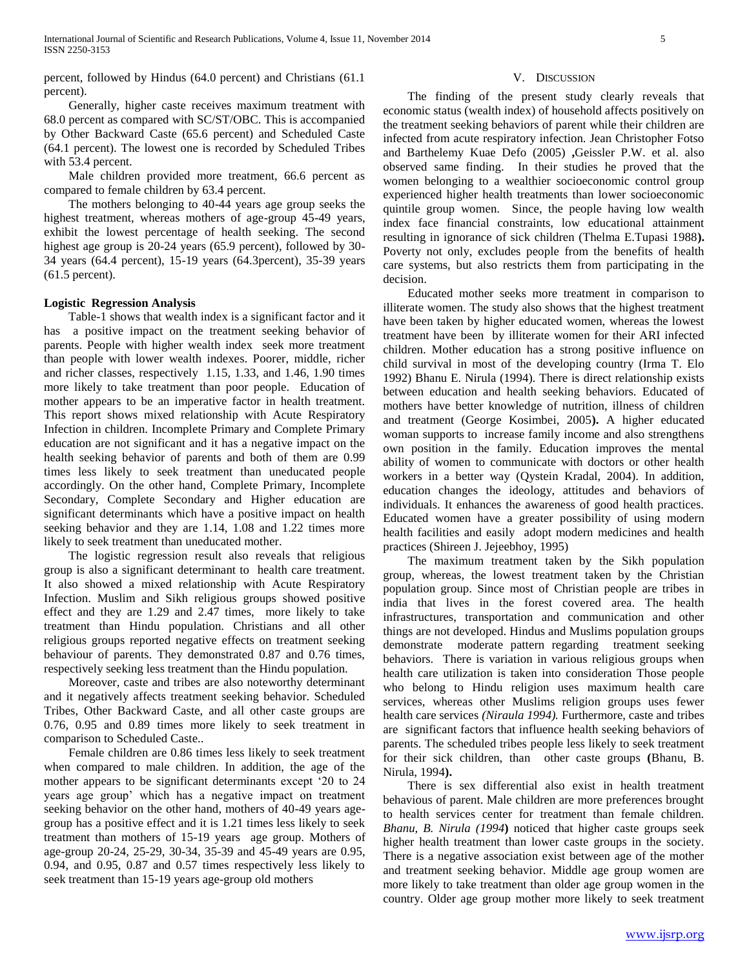percent, followed by Hindus (64.0 percent) and Christians (61.1 percent).

 Generally, higher caste receives maximum treatment with 68.0 percent as compared with SC/ST/OBC. This is accompanied by Other Backward Caste (65.6 percent) and Scheduled Caste (64.1 percent). The lowest one is recorded by Scheduled Tribes with 53.4 percent.

 Male children provided more treatment, 66.6 percent as compared to female children by 63.4 percent.

 The mothers belonging to 40-44 years age group seeks the highest treatment, whereas mothers of age-group 45-49 years, exhibit the lowest percentage of health seeking. The second highest age group is 20-24 years (65.9 percent), followed by 30- 34 years (64.4 percent), 15-19 years (64.3percent), 35-39 years (61.5 percent).

## **Logistic Regression Analysis**

 Table-1 shows that wealth index is a significant factor and it has a positive impact on the treatment seeking behavior of parents. People with higher wealth index seek more treatment than people with lower wealth indexes. Poorer, middle, richer and richer classes, respectively 1.15, 1.33, and 1.46, 1.90 times more likely to take treatment than poor people. Education of mother appears to be an imperative factor in health treatment. This report shows mixed relationship with Acute Respiratory Infection in children. Incomplete Primary and Complete Primary education are not significant and it has a negative impact on the health seeking behavior of parents and both of them are 0.99 times less likely to seek treatment than uneducated people accordingly. On the other hand, Complete Primary, Incomplete Secondary, Complete Secondary and Higher education are significant determinants which have a positive impact on health seeking behavior and they are 1.14, 1.08 and 1.22 times more likely to seek treatment than uneducated mother.

 The logistic regression result also reveals that religious group is also a significant determinant to health care treatment. It also showed a mixed relationship with Acute Respiratory Infection. Muslim and Sikh religious groups showed positive effect and they are 1.29 and 2.47 times, more likely to take treatment than Hindu population. Christians and all other religious groups reported negative effects on treatment seeking behaviour of parents. They demonstrated 0.87 and 0.76 times, respectively seeking less treatment than the Hindu population.

 Moreover, caste and tribes are also noteworthy determinant and it negatively affects treatment seeking behavior. Scheduled Tribes, Other Backward Caste, and all other caste groups are 0.76, 0.95 and 0.89 times more likely to seek treatment in comparison to Scheduled Caste..

 Female children are 0.86 times less likely to seek treatment when compared to male children. In addition, the age of the mother appears to be significant determinants except "20 to 24 years age group" which has a negative impact on treatment seeking behavior on the other hand, mothers of 40-49 years agegroup has a positive effect and it is 1.21 times less likely to seek treatment than mothers of 15-19 years age group. Mothers of age-group 20-24, 25-29, 30-34, 35-39 and 45-49 years are 0.95, 0.94, and 0.95, 0.87 and 0.57 times respectively less likely to seek treatment than 15-19 years age-group old mothers

#### V. DISCUSSION

 The finding of the present study clearly reveals that economic status (wealth index) of household affects positively on the treatment seeking behaviors of parent while their children are infected from acute respiratory infection. Jean Christopher Fotso and Barthelemy Kuae Defo (2005) **,**Geissler P.W. et al. also observed same finding. In their studies he proved that the women belonging to a wealthier socioeconomic control group experienced higher health treatments than lower socioeconomic quintile group women. Since, the people having low wealth index face financial constraints, low educational attainment resulting in ignorance of sick children (Thelma E.Tupasi 1988**).** Poverty not only, excludes people from the benefits of health care systems, but also restricts them from participating in the decision.

 Educated mother seeks more treatment in comparison to illiterate women. The study also shows that the highest treatment have been taken by higher educated women, whereas the lowest treatment have been by illiterate women for their ARI infected children. Mother education has a strong positive influence on child survival in most of the developing country (Irma T. Elo 1992) Bhanu E. Nirula (1994). There is direct relationship exists between education and health seeking behaviors. Educated of mothers have better knowledge of nutrition, illness of children and treatment (George Kosimbei, 2005**).** A higher educated woman supports to increase family income and also strengthens own position in the family. Education improves the mental ability of women to communicate with doctors or other health workers in a better way (Qystein Kradal, 2004). In addition, education changes the ideology, attitudes and behaviors of individuals. It enhances the awareness of good health practices. Educated women have a greater possibility of using modern health facilities and easily adopt modern medicines and health practices (Shireen J. Jejeebhoy, 1995)

 The maximum treatment taken by the Sikh population group, whereas, the lowest treatment taken by the Christian population group. Since most of Christian people are tribes in india that lives in the forest covered area. The health infrastructures, transportation and communication and other things are not developed. Hindus and Muslims population groups demonstrate moderate pattern regarding treatment seeking behaviors. There is variation in various religious groups when health care utilization is taken into consideration Those people who belong to Hindu religion uses maximum health care services, whereas other Muslims religion groups uses fewer health care services *(Niraula 1994).* Furthermore, caste and tribes are significant factors that influence health seeking behaviors of parents. The scheduled tribes people less likely to seek treatment for their sick children, than other caste groups **(**Bhanu, B. Nirula, 1994**).**

 There is sex differential also exist in health treatment behavious of parent. Male children are more preferences brought to health services center for treatment than female children. *Bhanu, B. Nirula (1994***)** noticed that higher caste groups seek higher health treatment than lower caste groups in the society. There is a negative association exist between age of the mother and treatment seeking behavior. Middle age group women are more likely to take treatment than older age group women in the country. Older age group mother more likely to seek treatment